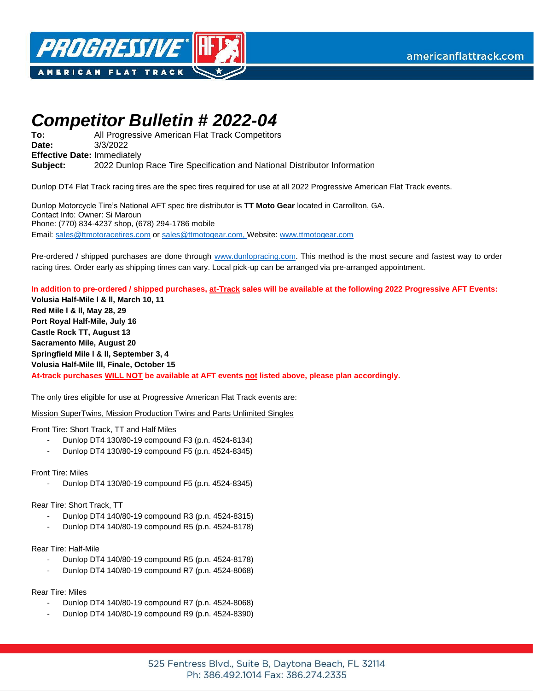



## *Competitor Bulletin # 2022-04*

**To: Date:**  All Progressive American Flat Track Competitors 3/3/2022 **Effective Date:** Immediately **Subject:** 2022 Dunlop Race Tire Specification and National Distributor Information

Dunlop DT4 Flat Track racing tires are the spec tires required for use at all 2022 Progressive American Flat Track events.

Dunlop Motorcycle Tire's National AFT spec tire distributor is **TT Moto Gear** located in Carrollton, GA. Contact Info: Owner: Si Maroun Phone: (770) 834-4237 shop, (678) 294-1786 mobile Email[: sales@ttmotoracetires.com](mailto:sales@ttmotoracetires.com) o[r sales@ttmotogear.com,](mailto:sales@ttmotogear.com) Website: [www.ttmotogear.com](http://www.ttmotogear.com/)

Pre-ordered / shipped purchases are done through [www.dunlopracing.com.](http://www.dunlopracing.com/) This method is the most secure and fastest way to order racing tires. Order early as shipping times can vary. Local pick-up can be arranged via pre-arranged appointment.

**In addition to pre-ordered / shipped purchases, at-Track sales will be available at the following 2022 Progressive AFT Events:**

**Volusia Half-Mile l & ll, March 10, 11 Red Mile l & ll, May 28, 29 Port Royal Half-Mile, July 16 Castle Rock TT, August 13 Sacramento Mile, August 20 Springfield Mile l & ll, September 3, 4 Volusia Half-Mile lll, Finale, October 15 At-track purchases WILL NOT be available at AFT events not listed above, please plan accordingly.** 

The only tires eligible for use at Progressive American Flat Track events are:

Mission SuperTwins, Mission Production Twins and Parts Unlimited Singles

Front Tire: Short Track, TT and Half Miles

- Dunlop DT4 130/80-19 compound F3 (p.n. 4524-8134)
- Dunlop DT4 130/80-19 compound F5 (p.n. 4524-8345)

Front Tire: Miles

Dunlop DT4 130/80-19 compound F5 (p.n. 4524-8345)

Rear Tire: Short Track, TT

- Dunlop DT4 140/80-19 compound R3 (p.n. 4524-8315)
- Dunlop DT4 140/80-19 compound R5 (p.n. 4524-8178)

Rear Tire: Half-Mile

- Dunlop DT4 140/80-19 compound R5 (p.n. 4524-8178)
- Dunlop DT4 140/80-19 compound R7 (p.n. 4524-8068)

Rear Tire: Miles

- Dunlop DT4 140/80-19 compound R7 (p.n. 4524-8068)
- Dunlop DT4 140/80-19 compound R9 (p.n. 4524-8390)